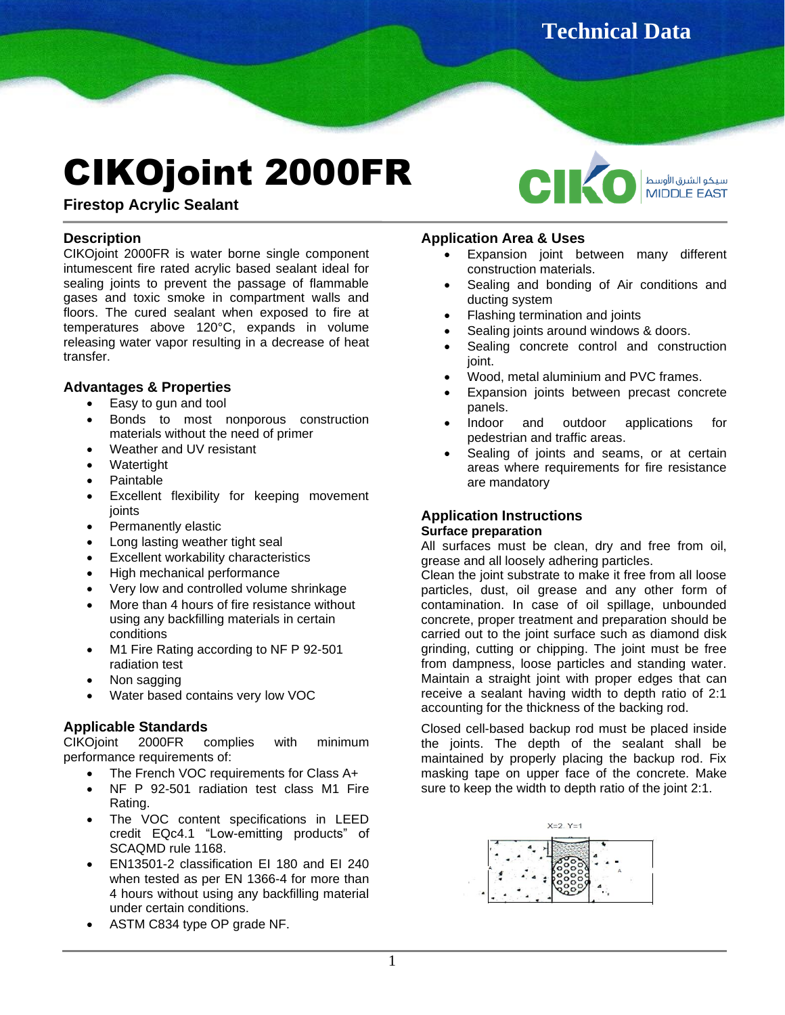**Technical Data** 

# CIKOjoint 2000FR

سيكو الشرق الأوسط **MIDDLE EAST** 

**Firestop Acrylic Sealant**

# **Description**

CIKOjoint 2000FR is water borne single component intumescent fire rated acrylic based sealant ideal for sealing joints to prevent the passage of flammable gases and toxic smoke in compartment walls and floors. The cured sealant when exposed to fire at temperatures above 120°C, expands in volume releasing water vapor resulting in a decrease of heat transfer.

# **Advantages & Properties**

- Easy to gun and tool
- Bonds to most nonporous construction materials without the need of primer
- Weather and UV resistant
- **Watertight**
- Paintable
- Excellent flexibility for keeping movement joints
- Permanently elastic
- Long lasting weather tight seal
- Excellent workability characteristics
- High mechanical performance
- Very low and controlled volume shrinkage
- More than 4 hours of fire resistance without using any backfilling materials in certain conditions
- M1 Fire Rating according to NF P 92-501 radiation test
- Non sagging
- Water based contains very low VOC

# **Applicable Standards**

CIKOjoint 2000FR complies with minimum performance requirements of:

- The French VOC requirements for Class A+
- NF P 92-501 radiation test class M1 Fire Rating.
- The VOC content specifications in LEED credit EQc4.1 "Low-emitting products" of SCAQMD rule 1168.
- EN13501-2 classification EI 180 and EI 240 when tested as per EN 1366-4 for more than 4 hours without using any backfilling material under certain conditions.
- ASTM C834 type OP grade NF.

### **Application Area & Uses**

Expansion joint between many different construction materials.

**Sheet**

- Sealing and bonding of Air conditions and ducting system
- Flashing termination and joints
- Sealing joints around windows & doors.
- Sealing concrete control and construction joint.
- Wood, metal aluminium and PVC frames.
- Expansion joints between precast concrete panels.
- Indoor and outdoor applications for pedestrian and traffic areas.
- Sealing of joints and seams, or at certain areas where requirements for fire resistance are mandatory

#### **Application Instructions Surface preparation**

All surfaces must be clean, dry and free from oil, grease and all loosely adhering particles.

Clean the joint substrate to make it free from all loose particles, dust, oil grease and any other form of contamination. In case of oil spillage, unbounded concrete, proper treatment and preparation should be carried out to the joint surface such as diamond disk grinding, cutting or chipping. The joint must be free from dampness, loose particles and standing water. Maintain a straight joint with proper edges that can receive a sealant having width to depth ratio of 2:1 accounting for the thickness of the backing rod.

Closed cell-based backup rod must be placed inside the joints. The depth of the sealant shall be maintained by properly placing the backup rod. Fix masking tape on upper face of the concrete. Make sure to keep the width to depth ratio of the joint 2:1.

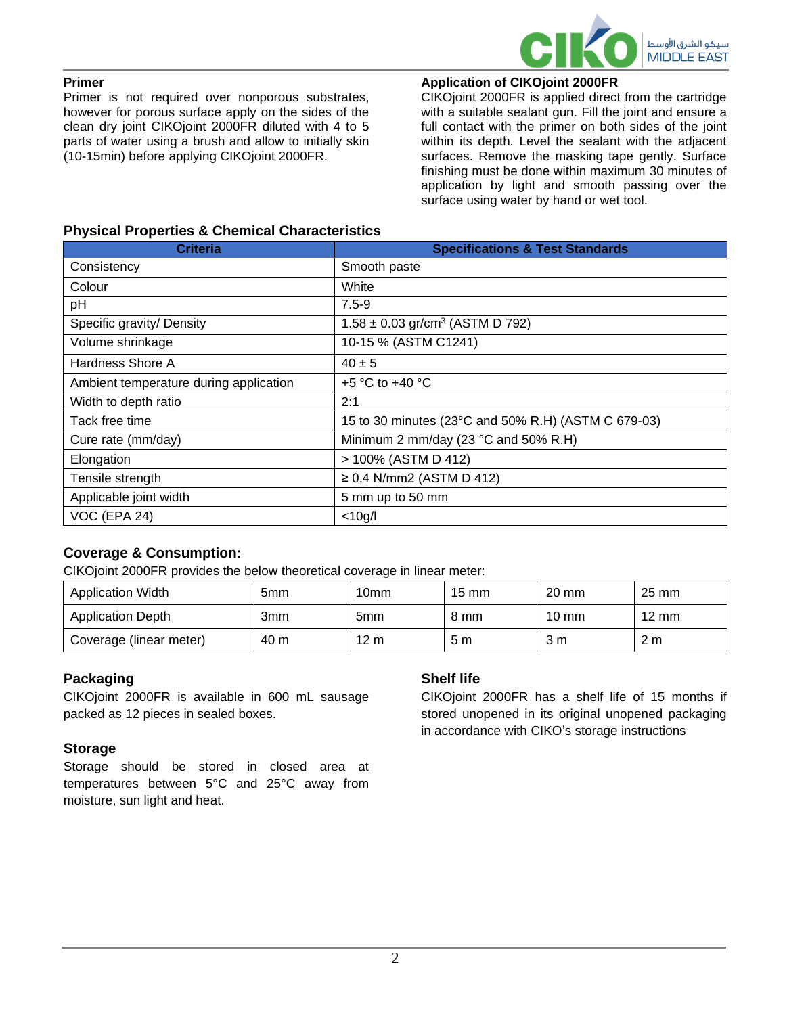

#### **Primer**

Primer is not required over nonporous substrates, however for porous surface apply on the sides of the clean dry joint CIKOjoint 2000FR diluted with 4 to 5 parts of water using a brush and allow to initially skin (10-15min) before applying CIKOjoint 2000FR.

# **Application of CIKOjoint 2000FR**

CIKOjoint 2000FR is applied direct from the cartridge with a suitable sealant gun. Fill the joint and ensure a full contact with the primer on both sides of the joint within its depth. Level the sealant with the adjacent surfaces. Remove the masking tape gently. Surface finishing must be done within maximum 30 minutes of application by light and smooth passing over the surface using water by hand or wet tool.

# **Physical Properties & Chemical Characteristics**

| <b>Criteria</b>                        | <b>Specifications &amp; Test Standards</b>          |  |  |
|----------------------------------------|-----------------------------------------------------|--|--|
| Consistency                            | Smooth paste                                        |  |  |
| Colour                                 | White                                               |  |  |
| pH                                     | $7.5 - 9$                                           |  |  |
| Specific gravity/ Density              | $1.58 \pm 0.03$ gr/cm <sup>3</sup> (ASTM D 792)     |  |  |
| Volume shrinkage                       | 10-15 % (ASTM C1241)                                |  |  |
| Hardness Shore A                       | $40 \pm 5$                                          |  |  |
| Ambient temperature during application | $+5$ °C to $+40$ °C                                 |  |  |
| Width to depth ratio                   | 2:1                                                 |  |  |
| Tack free time                         | 15 to 30 minutes (23°C and 50% R.H) (ASTM C 679-03) |  |  |
| Cure rate (mm/day)                     | Minimum 2 mm/day (23 °C and 50% R.H)                |  |  |
| Elongation                             | > 100% (ASTM D 412)                                 |  |  |
| Tensile strength                       | ≥ 0,4 N/mm2 (ASTM D 412)                            |  |  |
| Applicable joint width                 | 5 mm up to 50 mm                                    |  |  |
| VOC (EPA 24)                           | $<$ 10g/l                                           |  |  |

# **Coverage & Consumption:**

CIKOjoint 2000FR provides the below theoretical coverage in linear meter:

| <b>Application Width</b> | 5mm  | 10mm            | $15 \text{ mm}$ | $20 \text{ mm}$ | $25 \text{ mm}$ |
|--------------------------|------|-----------------|-----------------|-----------------|-----------------|
| <b>Application Depth</b> | 3mm  | 5 <sub>mm</sub> | 8 mm            | $10 \text{ mm}$ | $12 \text{ mm}$ |
| Coverage (linear meter)  | 40 m | $12 \text{ m}$  | 5 m             | 3 m             | 2 <sub>m</sub>  |

# **Packaging**

CIKOjoint 2000FR is available in 600 mL sausage packed as 12 pieces in sealed boxes.

# **Storage**

Storage should be stored in closed area at temperatures between 5°C and 25°C away from moisture, sun light and heat.

# **Shelf life**

CIKOjoint 2000FR has a shelf life of 15 months if stored unopened in its original unopened packaging in accordance with CIKO's storage instructions